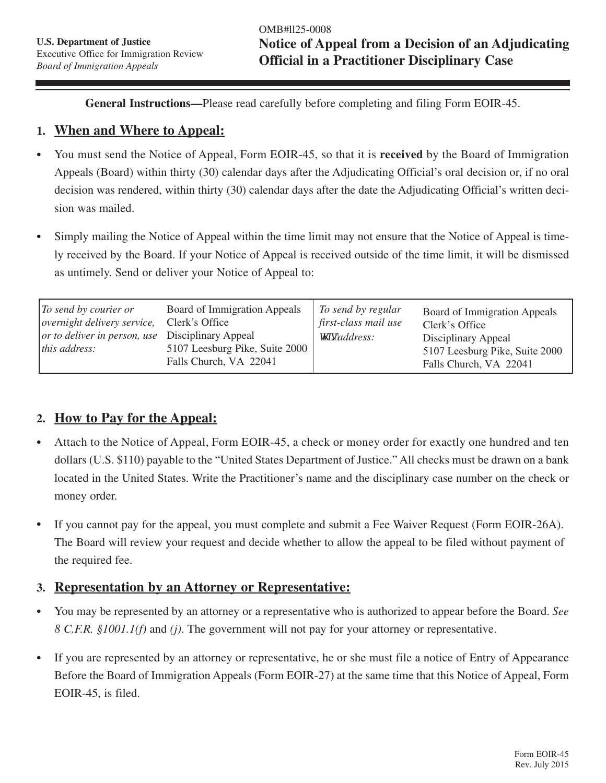**General Instructions—**Please read carefully before completing and filing Form EOIR-45.

#### **1. When and Where to Appeal:**

- <sup>l</sup> You must send the Notice of Appeal, Form EOIR-45, so that it is **received** by the Board of Immigration Appeals (Board) within thirty (30) calendar days after the Adjudicating Official's oral decision or, if no oral decision was rendered, within thirty (30) calendar days after the date the Adjudicating Official's written decision was mailed.
- Simply mailing the Notice of Appeal within the time limit may not ensure that the Notice of Appeal is timely received by the Board. If your Notice of Appeal is received outside of the time limit, it will be dismissed as untimely. Send or deliver your Notice of Appeal to:

| $\vert$ To send by courier or<br><i>overnight delivery service,</i><br><i>or to deliver in person, use</i> Disciplinary Appeal<br>this address: | Board of Immigration Appeals<br>Clerk's Office<br>5107 Leesburg Pike, Suite 2000<br>Falls Church, VA 22041 | To send by regular<br>first-class mail use<br>y ku''address: | Board of Immigration Appeals<br>Clerk's Office<br>Disciplinary Appeal<br>5107 Leesburg Pike, Suite 2000<br>Falls Church, VA 22041 |
|-------------------------------------------------------------------------------------------------------------------------------------------------|------------------------------------------------------------------------------------------------------------|--------------------------------------------------------------|-----------------------------------------------------------------------------------------------------------------------------------|
|-------------------------------------------------------------------------------------------------------------------------------------------------|------------------------------------------------------------------------------------------------------------|--------------------------------------------------------------|-----------------------------------------------------------------------------------------------------------------------------------|

## **2. How to Pay for the Appeal:**

- Attach to the Notice of Appeal, Form EOIR-45, a check or money order for exactly one hundred and ten dollars (U.S. \$110) payable to the "United States Department of Justice." All checks must be drawn on a bank located in the United States. Write the Practitioner's name and the disciplinary case number on the check or money order.
- If you cannot pay for the appeal, you must complete and submit a Fee Waiver Request (Form EOIR-26A). The Board will review your request and decide whether to allow the appeal to be filed without payment of the required fee.

#### **3. Representation by an Attorney or Representative:**

- <sup>l</sup> You may be represented by an attorney or a representative who is authorized to appear before the Board. *See 8 C.F.R. §1001.1(f)* and *(j)*. The government will not pay for your attorney or representative.
- If you are represented by an attorney or representative, he or she must file a notice of Entry of Appearance Before the Board of Immigration Appeals (Form EOIR-27) at the same time that this Notice of Appeal, Form EOIR-45, is filed.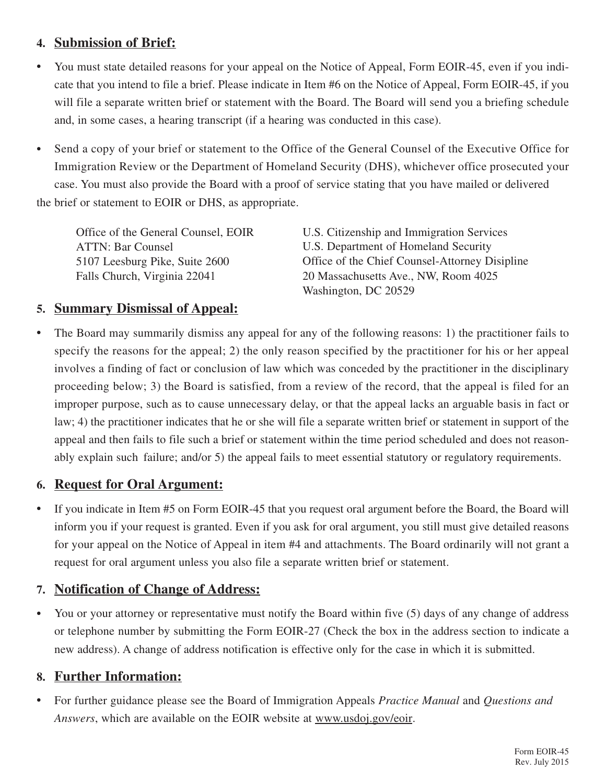# **4. Submission of Brief:**

- You must state detailed reasons for your appeal on the Notice of Appeal, Form EOIR-45, even if you indicate that you intend to file a brief. Please indicate in Item #6 on the Notice of Appeal, Form EOIR-45, if you will file a separate written brief or statement with the Board. The Board will send you a briefing schedule and, in some cases, a hearing transcript (if a hearing was conducted in this case).
- Send a copy of your brief or statement to the Office of the General Counsel of the Executive Office for Immigration Review or the Department of Homeland Security (DHS), whichever office prosecuted your case. You must also provide the Board with a proof of service stating that you have mailed or delivered the brief or statement to EOIR or DHS, as appropriate.

| Office of the General Counsel, EOIR | U.S. Citizenship and Immigration Services      |
|-------------------------------------|------------------------------------------------|
| <b>ATTN: Bar Counsel</b>            | U.S. Department of Homeland Security           |
| 5107 Leesburg Pike, Suite 2600      | Office of the Chief Counsel-Attorney Disipline |
| Falls Church, Virginia 22041        | 20 Massachusetts Ave., NW, Room 4025           |
|                                     | Washington, DC 20529                           |

## **5. Summary Dismissal of Appeal:**

• The Board may summarily dismiss any appeal for any of the following reasons: 1) the practitioner fails to specify the reasons for the appeal; 2) the only reason specified by the practitioner for his or her appeal involves a finding of fact or conclusion of law which was conceded by the practitioner in the disciplinary proceeding below; 3) the Board is satisfied, from a review of the record, that the appeal is filed for an improper purpose, such as to cause unnecessary delay, or that the appeal lacks an arguable basis in fact or law; 4) the practitioner indicates that he or she will file a separate written brief or statement in support of the appeal and then fails to file such a brief or statement within the time period scheduled and does not reasonably explain such failure; and/or 5) the appeal fails to meet essential statutory or regulatory requirements.

## **6. Request for Oral Argument:**

• If you indicate in Item #5 on Form EOIR-45 that you request oral argument before the Board, the Board will inform you if your request is granted. Even if you ask for oral argument, you still must give detailed reasons for your appeal on the Notice of Appeal in item #4 and attachments. The Board ordinarily will not grant a request for oral argument unless you also file a separate written brief or statement.

## **7. Notification of Change of Address:**

• You or your attorney or representative must notify the Board within five (5) days of any change of address or telephone number by submitting the Form EOIR-27 (Check the box in the address section to indicate a new address). A change of address notification is effective only for the case in which it is submitted.

## **8. Further Information:**

• For further guidance please see the Board of Immigration Appeals *Practice Manual* and *Questions and Answers*, which are available on the EOIR website at www.usdoj.gov/eoir.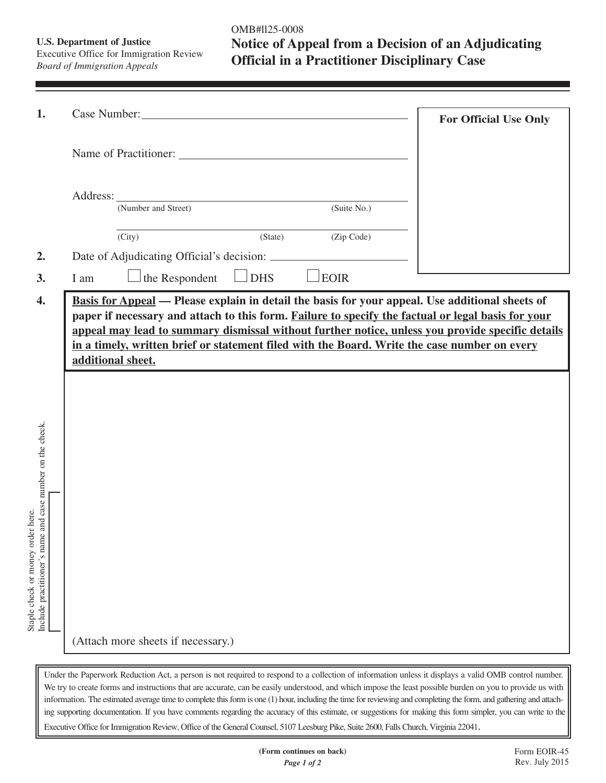**U.S. Department of Justice** Executive Office for Immigration Review *Board of Immigration Appeals*

OMB#ll25-0008 **Notice of Appeal from a Decision of an Adjudicating Official in a Practitioner Disciplinary Case**

|                   |        |                                                                                              |                                 |         |             |  | <b>For Official Use Only</b> |  |
|-------------------|--------|----------------------------------------------------------------------------------------------|---------------------------------|---------|-------------|--|------------------------------|--|
|                   |        |                                                                                              |                                 |         |             |  |                              |  |
| Address:          |        | (Number and Street)                                                                          |                                 |         | (Suite No.) |  |                              |  |
|                   |        |                                                                                              |                                 |         |             |  |                              |  |
|                   | (City) |                                                                                              |                                 | (State) | (Zip Code)  |  |                              |  |
|                   |        |                                                                                              |                                 |         |             |  |                              |  |
| I am              |        | the Respondent                                                                               | <b>DHS</b><br>$\vert \ \ \vert$ |         | EOIR        |  |                              |  |
|                   |        |                                                                                              |                                 |         |             |  |                              |  |
|                   |        | in a timely, written brief or statement filed with the Board. Write the case number on every |                                 |         |             |  |                              |  |
| additional sheet. |        |                                                                                              |                                 |         |             |  |                              |  |
|                   |        |                                                                                              |                                 |         |             |  |                              |  |
|                   |        |                                                                                              |                                 |         |             |  |                              |  |
|                   |        |                                                                                              |                                 |         |             |  |                              |  |
|                   |        |                                                                                              |                                 |         |             |  |                              |  |
|                   |        |                                                                                              |                                 |         |             |  |                              |  |
|                   |        |                                                                                              |                                 |         |             |  |                              |  |
|                   |        |                                                                                              |                                 |         |             |  |                              |  |
|                   |        |                                                                                              |                                 |         |             |  |                              |  |
|                   |        |                                                                                              |                                 |         |             |  |                              |  |
|                   |        |                                                                                              |                                 |         |             |  |                              |  |
|                   |        |                                                                                              |                                 |         |             |  |                              |  |
|                   |        | (Attach more sheets if necessary.)                                                           |                                 |         |             |  |                              |  |

We try to create forms and instructions that are accurate, can be easily understood, and which impose the least possible burden on you to provide us with information. The estimated average time to complete this form is one (1) hour, including the time for reviewing and completing the form, and gathering and attaching supporting documentation. If you have comments regarding the accuracy of this estimate, or suggestions for making this form simpler, you can write to the Executive Office for Immigration Review, Office of the General Counsel, 5107 Leesburg Pike, Suite 2600, Falls Church, Virginia 22041.